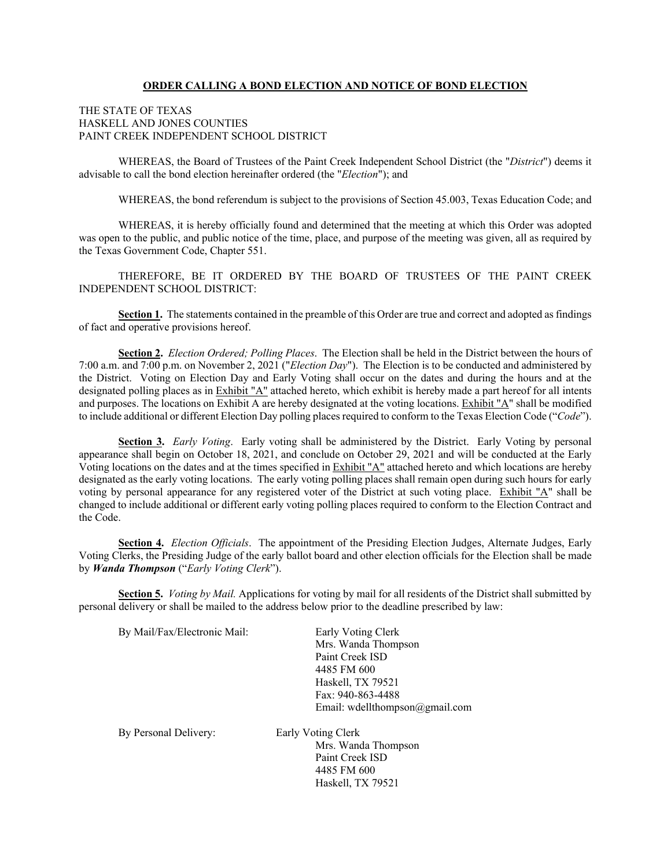### **ORDER CALLING A BOND ELECTION AND NOTICE OF BOND ELECTION**

#### THE STATE OF TEXAS HASKELL AND JONES COUNTIES PAINT CREEK INDEPENDENT SCHOOL DISTRICT

WHEREAS, the Board of Trustees of the Paint Creek Independent School District (the "*District*") deems it advisable to call the bond election hereinafter ordered (the "*Election*"); and

WHEREAS, the bond referendum is subject to the provisions of Section 45.003, Texas Education Code; and

WHEREAS, it is hereby officially found and determined that the meeting at which this Order was adopted was open to the public, and public notice of the time, place, and purpose of the meeting was given, all as required by the Texas Government Code, Chapter 551.

THEREFORE, BE IT ORDERED BY THE BOARD OF TRUSTEES OF THE PAINT CREEK INDEPENDENT SCHOOL DISTRICT:

**Section 1.** The statements contained in the preamble of this Order are true and correct and adopted as findings of fact and operative provisions hereof.

**Section 2.** *Election Ordered; Polling Places*. The Election shall be held in the District between the hours of 7:00 a.m. and 7:00 p.m. on November 2, 2021 ("*Election Day*"). The Election is to be conducted and administered by the District. Voting on Election Day and Early Voting shall occur on the dates and during the hours and at the designated polling places as in Exhibit "A" attached hereto, which exhibit is hereby made a part hereof for all intents and purposes. The locations on Exhibit A are hereby designated at the voting locations. Exhibit "A" shall be modified to include additional or different Election Day polling places required to conform to the Texas Election Code ("*Code*").

**Section 3.** *Early Voting*. Early voting shall be administered by the District. Early Voting by personal appearance shall begin on October 18, 2021, and conclude on October 29, 2021 and will be conducted at the Early Voting locations on the dates and at the times specified in Exhibit "A" attached hereto and which locations are hereby designated as the early voting locations. The early voting polling places shall remain open during such hours for early voting by personal appearance for any registered voter of the District at such voting place. Exhibit "A" shall be changed to include additional or different early voting polling places required to conform to the Election Contract and the Code.

**Section 4.** *Election Officials*. The appointment of the Presiding Election Judges, Alternate Judges, Early Voting Clerks, the Presiding Judge of the early ballot board and other election officials for the Election shall be made by *Wanda Thompson* ("*Early Voting Clerk*").

**Section 5.** *Voting by Mail.* Applications for voting by mail for all residents of the District shall submitted by personal delivery or shall be mailed to the address below prior to the deadline prescribed by law:

Haskell, TX 79521

| By Mail/Fax/Electronic Mail: | Early Voting Clerk             |
|------------------------------|--------------------------------|
|                              | Mrs. Wanda Thompson            |
|                              | Paint Creek ISD                |
|                              | 4485 FM 600                    |
|                              | Haskell, TX 79521              |
|                              | Fax: 940-863-4488              |
|                              | Email: wdellthompson@gmail.com |
| By Personal Delivery:        | Early Voting Clerk             |
|                              | Mrs. Wanda Thompson            |
|                              | Paint Creek ISD                |
|                              | 4485 FM 600                    |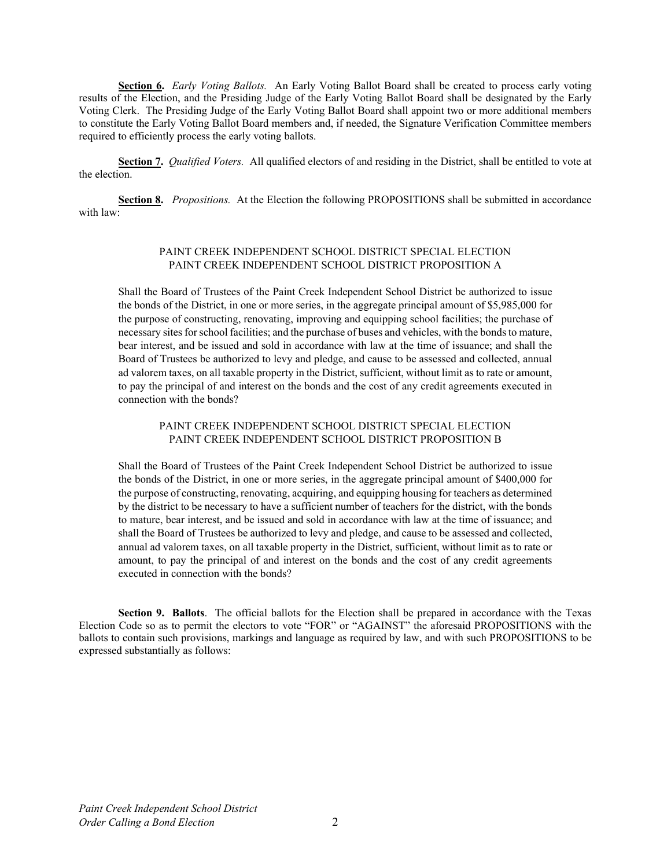**Section 6.** *Early Voting Ballots.* An Early Voting Ballot Board shall be created to process early voting results of the Election, and the Presiding Judge of the Early Voting Ballot Board shall be designated by the Early Voting Clerk. The Presiding Judge of the Early Voting Ballot Board shall appoint two or more additional members to constitute the Early Voting Ballot Board members and, if needed, the Signature Verification Committee members required to efficiently process the early voting ballots.

**Section 7.** *Qualified Voters.* All qualified electors of and residing in the District, shall be entitled to vote at the election.

**Section 8.** *Propositions.* At the Election the following PROPOSITIONS shall be submitted in accordance with law:

### PAINT CREEK INDEPENDENT SCHOOL DISTRICT SPECIAL ELECTION PAINT CREEK INDEPENDENT SCHOOL DISTRICT PROPOSITION A

Shall the Board of Trustees of the Paint Creek Independent School District be authorized to issue the bonds of the District, in one or more series, in the aggregate principal amount of \$5,985,000 for the purpose of constructing, renovating, improving and equipping school facilities; the purchase of necessary sites for school facilities; and the purchase of buses and vehicles, with the bonds to mature, bear interest, and be issued and sold in accordance with law at the time of issuance; and shall the Board of Trustees be authorized to levy and pledge, and cause to be assessed and collected, annual ad valorem taxes, on all taxable property in the District, sufficient, without limit as to rate or amount, to pay the principal of and interest on the bonds and the cost of any credit agreements executed in connection with the bonds?

### PAINT CREEK INDEPENDENT SCHOOL DISTRICT SPECIAL ELECTION PAINT CREEK INDEPENDENT SCHOOL DISTRICT PROPOSITION B

Shall the Board of Trustees of the Paint Creek Independent School District be authorized to issue the bonds of the District, in one or more series, in the aggregate principal amount of \$400,000 for the purpose of constructing, renovating, acquiring, and equipping housing for teachers as determined by the district to be necessary to have a sufficient number of teachers for the district, with the bonds to mature, bear interest, and be issued and sold in accordance with law at the time of issuance; and shall the Board of Trustees be authorized to levy and pledge, and cause to be assessed and collected, annual ad valorem taxes, on all taxable property in the District, sufficient, without limit as to rate or amount, to pay the principal of and interest on the bonds and the cost of any credit agreements executed in connection with the bonds?

**Section 9. Ballots**. The official ballots for the Election shall be prepared in accordance with the Texas Election Code so as to permit the electors to vote "FOR" or "AGAINST" the aforesaid PROPOSITIONS with the ballots to contain such provisions, markings and language as required by law, and with such PROPOSITIONS to be expressed substantially as follows: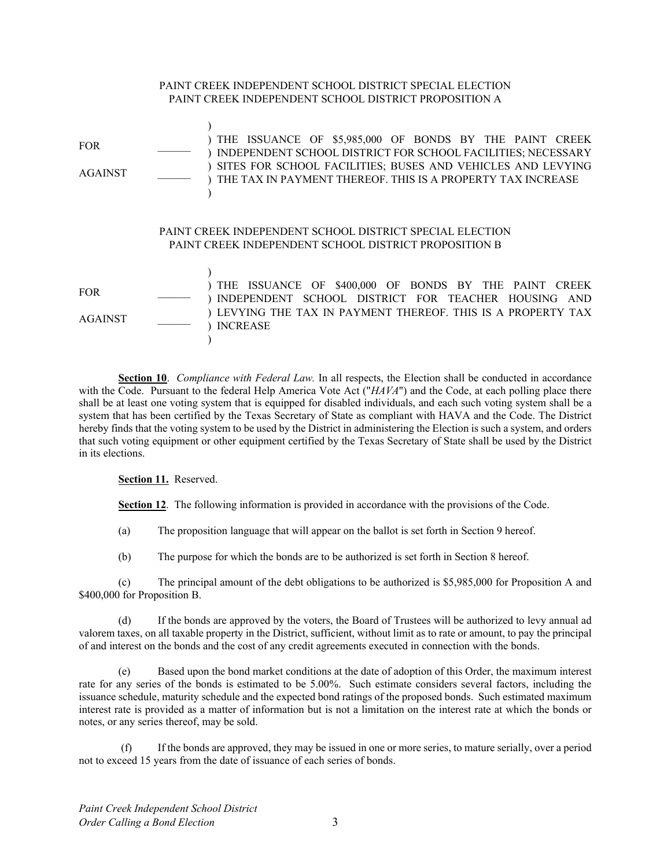# PAINT CREEK INDEPENDENT SCHOOL DISTRICT PROPOSITION A  $FOR$ AGAINST \_\_\_\_\_\_ ) ) THE ISSUANCE OF \$5,985,000 OF BONDS BY THE PAINT CREEK ) INDEPENDENT SCHOOL DISTRICT FOR SCHOOL FACILITIES; NECESSARY ) SITES FOR SCHOOL FACILITIES; BUSES AND VEHICLES AND LEVYING ) THE TAX IN PAYMENT THEREOF. THIS IS A PROPERTY TAX INCREASE  $\lambda$ PAINT CREEK INDEPENDENT SCHOOL DISTRICT SPECIAL ELECTION PAINT CREEK INDEPENDENT SCHOOL DISTRICT PROPOSITION B  $FOR$ AGAINST \_\_\_\_\_\_ ) ) THE ISSUANCE OF \$400,000 OF BONDS BY THE PAINT CREEK ) INDEPENDENT SCHOOL DISTRICT FOR TEACHER HOUSING AND ) LEVYING THE TAX IN PAYMENT THEREOF. THIS IS A PROPERTY TAX ) INCREASE  $\lambda$

PAINT CREEK INDEPENDENT SCHOOL DISTRICT SPECIAL ELECTION

**Section 10**. *Compliance with Federal Law.* In all respects, the Election shall be conducted in accordance with the Code. Pursuant to the federal Help America Vote Act ("*HAVA*") and the Code, at each polling place there shall be at least one voting system that is equipped for disabled individuals, and each such voting system shall be a system that has been certified by the Texas Secretary of State as compliant with HAVA and the Code. The District hereby finds that the voting system to be used by the District in administering the Election is such a system, and orders that such voting equipment or other equipment certified by the Texas Secretary of State shall be used by the District in its elections.

### **Section 11.** Reserved.

**Section 12**. The following information is provided in accordance with the provisions of the Code.

(a) The proposition language that will appear on the ballot is set forth in Section 9 hereof.

(b) The purpose for which the bonds are to be authorized is set forth in Section 8 hereof.

(c) The principal amount of the debt obligations to be authorized is \$5,985,000 for Proposition A and \$400,000 for Proposition B.

(d) If the bonds are approved by the voters, the Board of Trustees will be authorized to levy annual ad valorem taxes, on all taxable property in the District, sufficient, without limit as to rate or amount, to pay the principal of and interest on the bonds and the cost of any credit agreements executed in connection with the bonds.

(e) Based upon the bond market conditions at the date of adoption of this Order, the maximum interest rate for any series of the bonds is estimated to be 5.00%. Such estimate considers several factors, including the issuance schedule, maturity schedule and the expected bond ratings of the proposed bonds. Such estimated maximum interest rate is provided as a matter of information but is not a limitation on the interest rate at which the bonds or notes, or any series thereof, may be sold.

 (f) If the bonds are approved, they may be issued in one or more series, to mature serially, over a period not to exceed 15 years from the date of issuance of each series of bonds.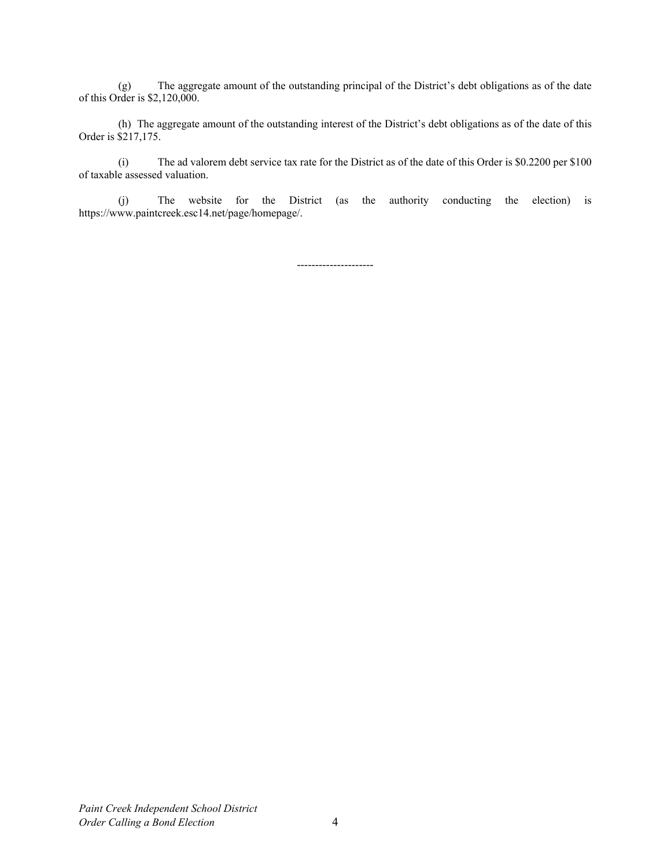(g) The aggregate amount of the outstanding principal of the District's debt obligations as of the date of this Order is \$2,120,000.

(h) The aggregate amount of the outstanding interest of the District's debt obligations as of the date of this Order is \$217,175.

(i) The ad valorem debt service tax rate for the District as of the date of this Order is \$0.2200 per \$100 of taxable assessed valuation.

(j) The website for the District (as the authority conducting the election) is https://www.paintcreek.esc14.net/page/homepage/.

---------------------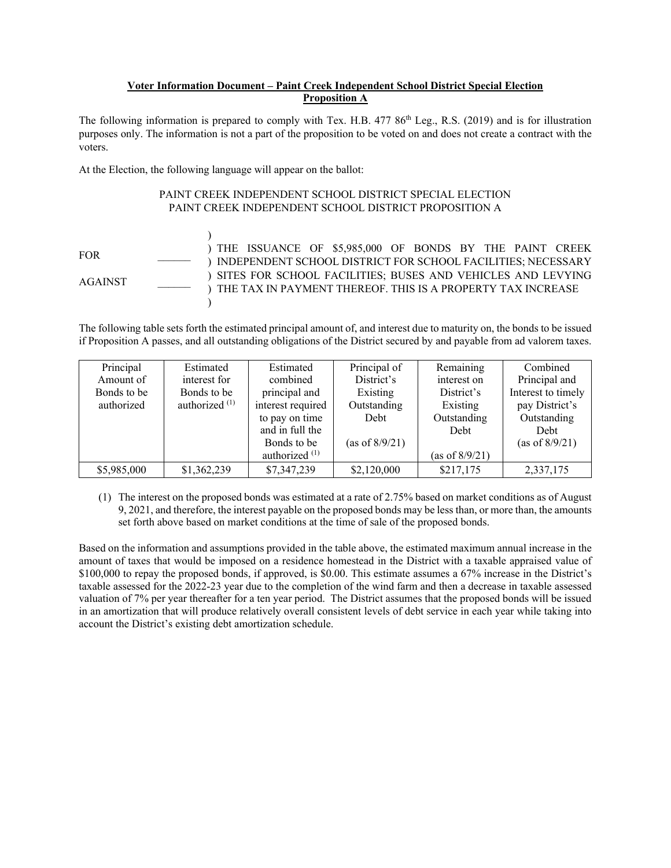# **Voter Information Document – Paint Creek Independent School District Special Election Proposition A**

The following information is prepared to comply with Tex. H.B. 477 86<sup>th</sup> Leg., R.S. (2019) and is for illustration purposes only. The information is not a part of the proposition to be voted on and does not create a contract with the voters.

At the Election, the following language will appear on the ballot:

# PAINT CREEK INDEPENDENT SCHOOL DISTRICT SPECIAL ELECTION PAINT CREEK INDEPENDENT SCHOOL DISTRICT PROPOSITION A

FOR \_\_\_\_\_\_ AGAINST \_\_\_\_\_\_  $\lambda$ ) THE ISSUANCE OF \$5,985,000 OF BONDS BY THE PAINT CREEK ) INDEPENDENT SCHOOL DISTRICT FOR SCHOOL FACILITIES; NECESSARY ) SITES FOR SCHOOL FACILITIES; BUSES AND VEHICLES AND LEVYING ) THE TAX IN PAYMENT THEREOF. THIS IS A PROPERTY TAX INCREASE  $\lambda$ 

The following table sets forth the estimated principal amount of, and interest due to maturity on, the bonds to be issued if Proposition A passes, and all outstanding obligations of the District secured by and payable from ad valorem taxes.

| Principal   | Estimated        | Estimated         | Principal of   | Remaining         | Combined           |
|-------------|------------------|-------------------|----------------|-------------------|--------------------|
| Amount of   | interest for     | combined          | District's     | interest on       | Principal and      |
| Bonds to be | Bonds to be      | principal and     | Existing       | District's        | Interest to timely |
| authorized  | authorized $(1)$ | interest required | Outstanding    | Existing          | pay District's     |
|             |                  | to pay on time    | Debt           | Outstanding       | Outstanding        |
|             |                  | and in full the   |                | Debt              | Debt               |
|             |                  | Bonds to be       | (as of 8/9/21) |                   | (as of $8/9/21$ )  |
|             |                  | authorized $(1)$  |                | (as of $8/9/21$ ) |                    |
| \$5,985,000 | \$1,362,239      | \$7,347,239       | \$2,120,000    | \$217,175         | 2,337,175          |

(1) The interest on the proposed bonds was estimated at a rate of 2.75% based on market conditions as of August 9, 2021, and therefore, the interest payable on the proposed bonds may be less than, or more than, the amounts set forth above based on market conditions at the time of sale of the proposed bonds.

Based on the information and assumptions provided in the table above, the estimated maximum annual increase in the amount of taxes that would be imposed on a residence homestead in the District with a taxable appraised value of \$100,000 to repay the proposed bonds, if approved, is \$0.00. This estimate assumes a 67% increase in the District's taxable assessed for the 2022-23 year due to the completion of the wind farm and then a decrease in taxable assessed valuation of 7% per year thereafter for a ten year period. The District assumes that the proposed bonds will be issued in an amortization that will produce relatively overall consistent levels of debt service in each year while taking into account the District's existing debt amortization schedule.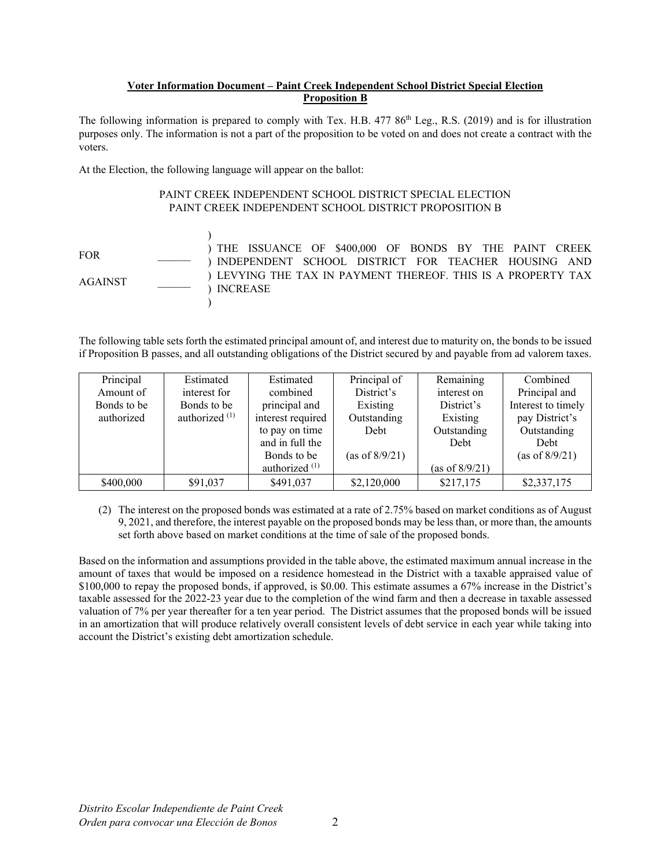# **Voter Information Document – Paint Creek Independent School District Special Election Proposition B**

The following information is prepared to comply with Tex. H.B. 477 86<sup>th</sup> Leg., R.S. (2019) and is for illustration purposes only. The information is not a part of the proposition to be voted on and does not create a contract with the voters.

At the Election, the following language will appear on the ballot:

# PAINT CREEK INDEPENDENT SCHOOL DISTRICT SPECIAL ELECTION PAINT CREEK INDEPENDENT SCHOOL DISTRICT PROPOSITION B

FOR \_\_\_\_\_\_ AGAINST \_\_\_\_\_\_  $\lambda$ ) THE ISSUANCE OF \$400,000 OF BONDS BY THE PAINT CREEK ) INDEPENDENT SCHOOL DISTRICT FOR TEACHER HOUSING AND ) LEVYING THE TAX IN PAYMENT THEREOF. THIS IS A PROPERTY TAX ) INCREASE  $\mathcal{L}$ 

The following table sets forth the estimated principal amount of, and interest due to maturity on, the bonds to be issued if Proposition B passes, and all outstanding obligations of the District secured by and payable from ad valorem taxes.

| Principal   | Estimated        | Estimated                 | Principal of      | Remaining         | Combined           |
|-------------|------------------|---------------------------|-------------------|-------------------|--------------------|
| Amount of   | interest for     | combined                  | District's        | interest on       | Principal and      |
| Bonds to be | Bonds to be      | principal and             | Existing          | District's        | Interest to timely |
| authorized  | authorized $(1)$ | interest required         | Outstanding       | Existing          | pay District's     |
|             |                  | to pay on time            | Debt              | Outstanding       | Outstanding        |
|             |                  | and in full the           |                   | Debt              | Debt               |
|             |                  | Bonds to be               | (as of $8/9/21$ ) |                   | (as of $8/9/21$ )  |
|             |                  | authorized <sup>(1)</sup> |                   | (as of $8/9/21$ ) |                    |
| \$400,000   | \$91,037         | \$491,037                 | \$2,120,000       | \$217,175         | \$2,337,175        |

(2) The interest on the proposed bonds was estimated at a rate of 2.75% based on market conditions as of August 9, 2021, and therefore, the interest payable on the proposed bonds may be less than, or more than, the amounts set forth above based on market conditions at the time of sale of the proposed bonds.

Based on the information and assumptions provided in the table above, the estimated maximum annual increase in the amount of taxes that would be imposed on a residence homestead in the District with a taxable appraised value of \$100,000 to repay the proposed bonds, if approved, is \$0.00. This estimate assumes a 67% increase in the District's taxable assessed for the 2022-23 year due to the completion of the wind farm and then a decrease in taxable assessed valuation of 7% per year thereafter for a ten year period. The District assumes that the proposed bonds will be issued in an amortization that will produce relatively overall consistent levels of debt service in each year while taking into account the District's existing debt amortization schedule.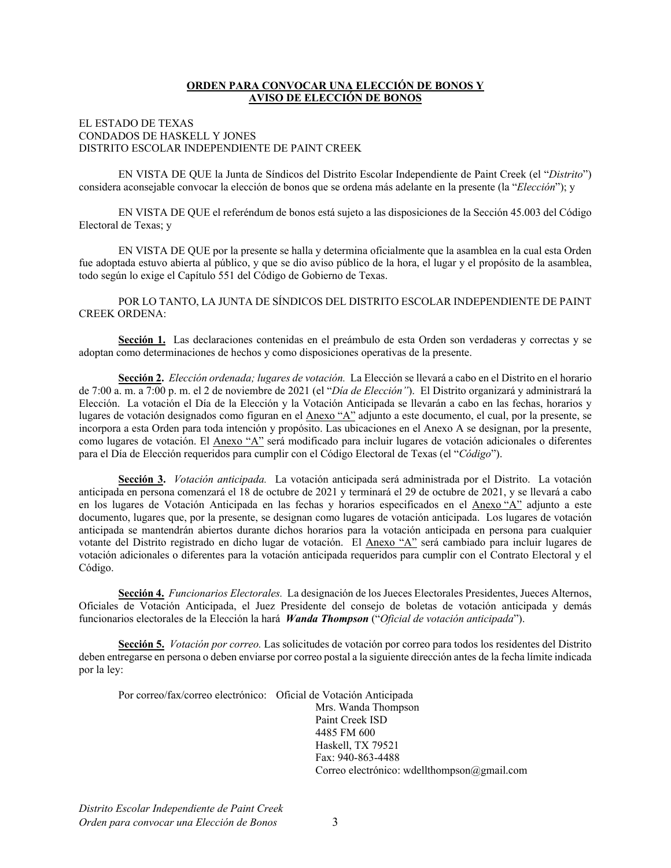# **ORDEN PARA CONVOCAR UNA ELECCIÓN DE BONOS Y AVISO DE ELECCIÓN DE BONOS**

### EL ESTADO DE TEXAS CONDADOS DE HASKELL Y JONES DISTRITO ESCOLAR INDEPENDIENTE DE PAINT CREEK

EN VISTA DE QUE la Junta de Síndicos del Distrito Escolar Independiente de Paint Creek (el "*Distrito*") considera aconsejable convocar la elección de bonos que se ordena más adelante en la presente (la "*Elección*"); y

EN VISTA DE QUE el referéndum de bonos está sujeto a las disposiciones de la Sección 45.003 del Código Electoral de Texas; y

EN VISTA DE QUE por la presente se halla y determina oficialmente que la asamblea en la cual esta Orden fue adoptada estuvo abierta al público, y que se dio aviso público de la hora, el lugar y el propósito de la asamblea, todo según lo exige el Capítulo 551 del Código de Gobierno de Texas.

POR LO TANTO, LA JUNTA DE SÍNDICOS DEL DISTRITO ESCOLAR INDEPENDIENTE DE PAINT CREEK ORDENA:

**Sección 1.** Las declaraciones contenidas en el preámbulo de esta Orden son verdaderas y correctas y se adoptan como determinaciones de hechos y como disposiciones operativas de la presente.

**Sección 2.** *Elección ordenada; lugares de votación.* La Elección se llevará a cabo en el Distrito en el horario de 7:00 a. m. a 7:00 p. m. el 2 de noviembre de 2021 (el "*Día de Elección"*). El Distrito organizará y administrará la Elección. La votación el Día de la Elección y la Votación Anticipada se llevarán a cabo en las fechas, horarios y lugares de votación designados como figuran en el Anexo "A" adjunto a este documento, el cual, por la presente, se incorpora a esta Orden para toda intención y propósito. Las ubicaciones en el Anexo A se designan, por la presente, como lugares de votación. El Anexo "A" será modificado para incluir lugares de votación adicionales o diferentes para el Día de Elección requeridos para cumplir con el Código Electoral de Texas (el "*Código*").

**Sección 3.** *Votación anticipada.* La votación anticipada será administrada por el Distrito. La votación anticipada en persona comenzará el 18 de octubre de 2021 y terminará el 29 de octubre de 2021, y se llevará a cabo en los lugares de Votación Anticipada en las fechas y horarios especificados en el Anexo "A" adjunto a este documento, lugares que, por la presente, se designan como lugares de votación anticipada. Los lugares de votación anticipada se mantendrán abiertos durante dichos horarios para la votación anticipada en persona para cualquier votante del Distrito registrado en dicho lugar de votación. El Anexo "A" será cambiado para incluir lugares de votación adicionales o diferentes para la votación anticipada requeridos para cumplir con el Contrato Electoral y el Código.

**Sección 4.** *Funcionarios Electorales.* La designación de los Jueces Electorales Presidentes, Jueces Alternos, Oficiales de Votación Anticipada, el Juez Presidente del consejo de boletas de votación anticipada y demás funcionarios electorales de la Elección la hará *Wanda Thompson* ("*Oficial de votación anticipada*").

**Sección 5.** *Votación por correo.* Las solicitudes de votación por correo para todos los residentes del Distrito deben entregarse en persona o deben enviarse por correo postal a la siguiente dirección antes de la fecha límite indicada por la ley:

Por correo/fax/correo electrónico: Oficial de Votación Anticipada

 Mrs. Wanda Thompson Paint Creek ISD 4485 FM 600 Haskell, TX 79521 Fax: 940-863-4488 Correo electrónico: wdellthompson@gmail.com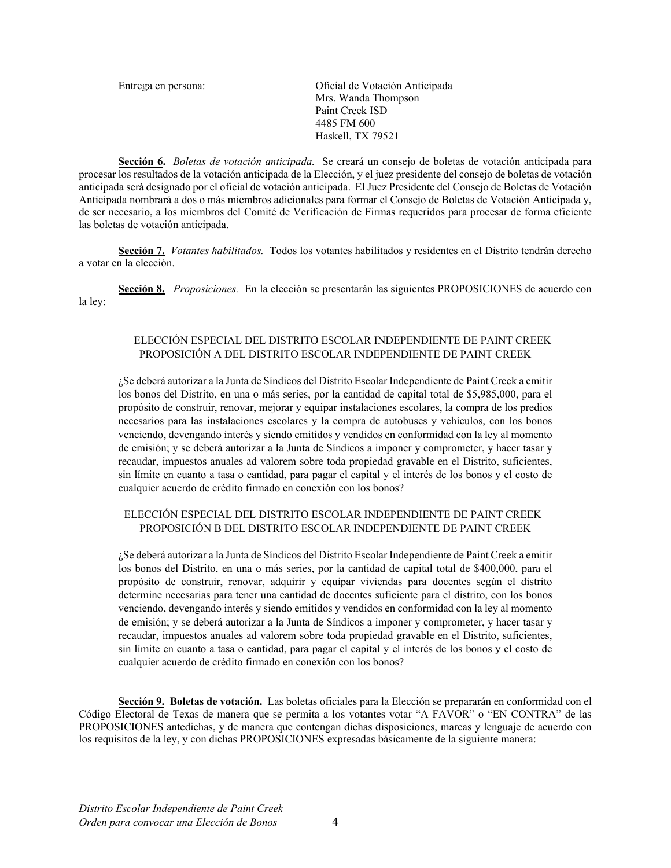Entrega en persona: Oficial de Votación Anticipada Mrs. Wanda Thompson Paint Creek ISD 4485 FM 600 Haskell, TX 79521

**Sección 6.** *Boletas de votación anticipada.* Se creará un consejo de boletas de votación anticipada para procesar los resultados de la votación anticipada de la Elección, y el juez presidente del consejo de boletas de votación anticipada será designado por el oficial de votación anticipada. El Juez Presidente del Consejo de Boletas de Votación Anticipada nombrará a dos o más miembros adicionales para formar el Consejo de Boletas de Votación Anticipada y, de ser necesario, a los miembros del Comité de Verificación de Firmas requeridos para procesar de forma eficiente las boletas de votación anticipada.

**Sección 7.** *Votantes habilitados.* Todos los votantes habilitados y residentes en el Distrito tendrán derecho a votar en la elección.

**Sección 8.** *Proposiciones.* En la elección se presentarán las siguientes PROPOSICIONES de acuerdo con la ley:

## ELECCIÓN ESPECIAL DEL DISTRITO ESCOLAR INDEPENDIENTE DE PAINT CREEK PROPOSICIÓN A DEL DISTRITO ESCOLAR INDEPENDIENTE DE PAINT CREEK

¿Se deberá autorizar a la Junta de Síndicos del Distrito Escolar Independiente de Paint Creek a emitir los bonos del Distrito, en una o más series, por la cantidad de capital total de \$5,985,000, para el propósito de construir, renovar, mejorar y equipar instalaciones escolares, la compra de los predios necesarios para las instalaciones escolares y la compra de autobuses y vehículos, con los bonos venciendo, devengando interés y siendo emitidos y vendidos en conformidad con la ley al momento de emisión; y se deberá autorizar a la Junta de Síndicos a imponer y comprometer, y hacer tasar y recaudar, impuestos anuales ad valorem sobre toda propiedad gravable en el Distrito, suficientes, sin límite en cuanto a tasa o cantidad, para pagar el capital y el interés de los bonos y el costo de cualquier acuerdo de crédito firmado en conexión con los bonos?

# ELECCIÓN ESPECIAL DEL DISTRITO ESCOLAR INDEPENDIENTE DE PAINT CREEK PROPOSICIÓN B DEL DISTRITO ESCOLAR INDEPENDIENTE DE PAINT CREEK

¿Se deberá autorizar a la Junta de Síndicos del Distrito Escolar Independiente de Paint Creek a emitir los bonos del Distrito, en una o más series, por la cantidad de capital total de \$400,000, para el propósito de construir, renovar, adquirir y equipar viviendas para docentes según el distrito determine necesarias para tener una cantidad de docentes suficiente para el distrito, con los bonos venciendo, devengando interés y siendo emitidos y vendidos en conformidad con la ley al momento de emisión; y se deberá autorizar a la Junta de Síndicos a imponer y comprometer, y hacer tasar y recaudar, impuestos anuales ad valorem sobre toda propiedad gravable en el Distrito, suficientes, sin límite en cuanto a tasa o cantidad, para pagar el capital y el interés de los bonos y el costo de cualquier acuerdo de crédito firmado en conexión con los bonos?

**Sección 9. Boletas de votación.** Las boletas oficiales para la Elección se prepararán en conformidad con el Código Electoral de Texas de manera que se permita a los votantes votar "A FAVOR" o "EN CONTRA" de las PROPOSICIONES antedichas, y de manera que contengan dichas disposiciones, marcas y lenguaje de acuerdo con los requisitos de la ley, y con dichas PROPOSICIONES expresadas básicamente de la siguiente manera: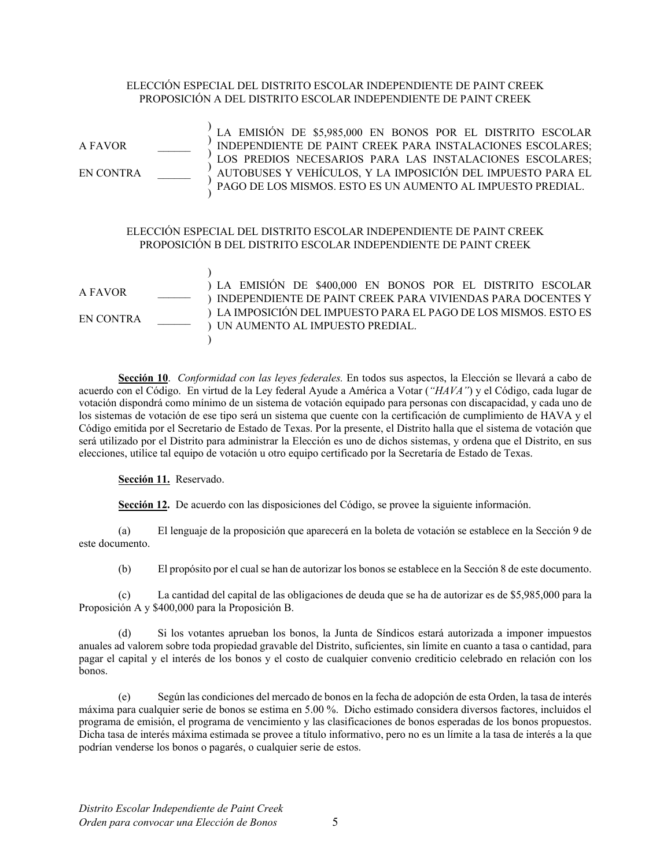# ELECCIÓN ESPECIAL DEL DISTRITO ESCOLAR INDEPENDIENTE DE PAINT CREEK PROPOSICIÓN A DEL DISTRITO ESCOLAR INDEPENDIENTE DE PAINT CREEK

A FAVOR EN CONTRA ) ) ) ) ) ) LA EMISIÓN DE \$5,985,000 EN BONOS POR EL DISTRITO ESCOLAR INDEPENDIENTE DE PAINT CREEK PARA INSTALACIONES ESCOLARES; LOS PREDIOS NECESARIOS PARA LAS INSTALACIONES ESCOLARES; AUTOBUSES Y VEHÍCULOS, Y LA IMPOSICIÓN DEL IMPUESTO PARA EL PAGO DE LOS MISMOS. ESTO ES UN AUMENTO AL IMPUESTO PREDIAL. ELECCIÓN ESPECIAL DEL DISTRITO ESCOLAR INDEPENDIENTE DE PAINT CREEK PROPOSICIÓN B DEL DISTRITO ESCOLAR INDEPENDIENTE DE PAINT CREEK A FAVOR EN CONTRA ) ) LA EMISIÓN DE \$400,000 EN BONOS POR EL DISTRITO ESCOLAR ) INDEPENDIENTE DE PAINT CREEK PARA VIVIENDAS PARA DOCENTES Y ) LA IMPOSICIÓN DEL IMPUESTO PARA EL PAGO DE LOS MISMOS. ESTO ES ) UN AUMENTO AL IMPUESTO PREDIAL.  $\lambda$ 

**Sección 10**. *Conformidad con las leyes federales.* En todos sus aspectos, la Elección se llevará a cabo de acuerdo con el Código. En virtud de la Ley federal Ayude a América a Votar (*"HAVA"*) y el Código, cada lugar de votación dispondrá como mínimo de un sistema de votación equipado para personas con discapacidad, y cada uno de los sistemas de votación de ese tipo será un sistema que cuente con la certificación de cumplimiento de HAVA y el Código emitida por el Secretario de Estado de Texas. Por la presente, el Distrito halla que el sistema de votación que será utilizado por el Distrito para administrar la Elección es uno de dichos sistemas, y ordena que el Distrito, en sus elecciones, utilice tal equipo de votación u otro equipo certificado por la Secretaría de Estado de Texas.

**Sección 11.** Reservado.

**Sección 12.** De acuerdo con las disposiciones del Código, se provee la siguiente información.

(a) El lenguaje de la proposición que aparecerá en la boleta de votación se establece en la Sección 9 de este documento.

(b) El propósito por el cual se han de autorizar los bonos se establece en la Sección 8 de este documento.

(c) La cantidad del capital de las obligaciones de deuda que se ha de autorizar es de \$5,985,000 para la Proposición A y \$400,000 para la Proposición B.

(d) Si los votantes aprueban los bonos, la Junta de Síndicos estará autorizada a imponer impuestos anuales ad valorem sobre toda propiedad gravable del Distrito, suficientes, sin límite en cuanto a tasa o cantidad, para pagar el capital y el interés de los bonos y el costo de cualquier convenio crediticio celebrado en relación con los bonos.

(e) Según las condiciones del mercado de bonos en la fecha de adopción de esta Orden, la tasa de interés máxima para cualquier serie de bonos se estima en 5.00 %. Dicho estimado considera diversos factores, incluidos el programa de emisión, el programa de vencimiento y las clasificaciones de bonos esperadas de los bonos propuestos. Dicha tasa de interés máxima estimada se provee a título informativo, pero no es un límite a la tasa de interés a la que podrían venderse los bonos o pagarés, o cualquier serie de estos.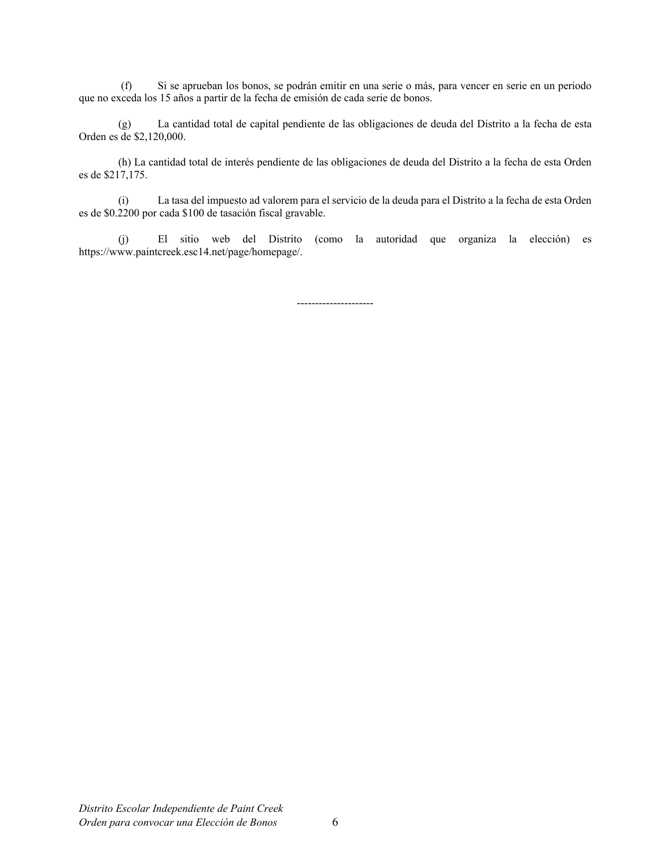(f) Si se aprueban los bonos, se podrán emitir en una serie o más, para vencer en serie en un periodo que no exceda los 15 años a partir de la fecha de emisión de cada serie de bonos.

(g) La cantidad total de capital pendiente de las obligaciones de deuda del Distrito a la fecha de esta Orden es de \$2,120,000.

(h) La cantidad total de interés pendiente de las obligaciones de deuda del Distrito a la fecha de esta Orden es de \$217,175.

(i) La tasa del impuesto ad valorem para el servicio de la deuda para el Distrito a la fecha de esta Orden es de \$0.2200 por cada \$100 de tasación fiscal gravable.

(j) El sitio web del Distrito (como la autoridad que organiza la elección) es https://www.paintcreek.esc14.net/page/homepage/.

---------------------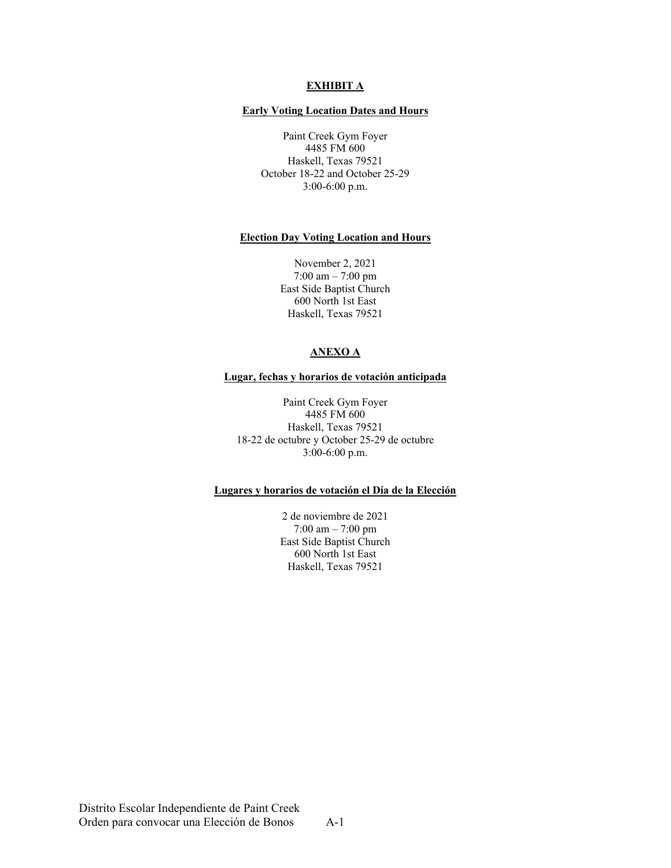### **EXHIBIT A**

#### **Early Voting Location Dates and Hours**

Paint Creek Gym Foyer 4485 FM 600 Haskell, Texas 79521 October 18-22 and October 25-29 3:00-6:00 p.m.

#### **Election Day Voting Location and Hours**

November 2, 2021 7:00 am – 7:00 pm East Side Baptist Church 600 North 1st East Haskell, Texas 79521

# **ANEXO A**

#### **Lugar, fechas y horarios de votación anticipada**

Paint Creek Gym Foyer 4485 FM 600 Haskell, Texas 79521 18-22 de octubre y October 25-29 de octubre 3:00-6:00 p.m.

### **Lugares y horarios de votación el Día de la Elección**

2 de noviembre de 2021 7:00 am – 7:00 pm East Side Baptist Church 600 North 1st East Haskell, Texas 79521

Distrito Escolar Independiente de Paint Creek Orden para convocar una Elección de Bonos A-1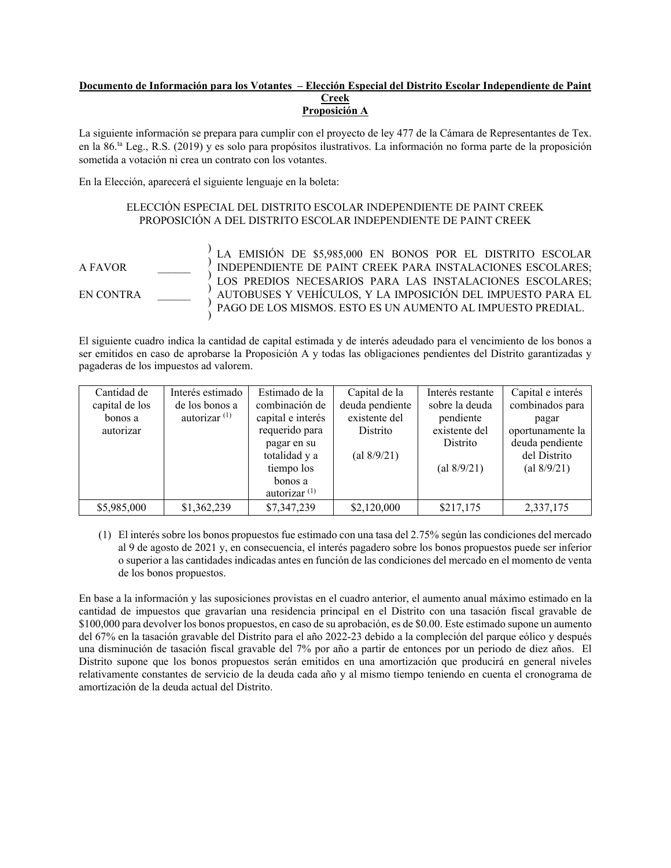#### **Documento de Información para los Votantes – Elección Especial del Distrito Escolar Independiente de Paint Creek Proposición A**

La siguiente información se prepara para cumplir con el proyecto de ley 477 de la Cámara de Representantes de Tex. en la 86.ta Leg., R.S. (2019) y es solo para propósitos ilustrativos. La información no forma parte de la proposición sometida a votación ni crea un contrato con los votantes.

En la Elección, aparecerá el siguiente lenguaje en la boleta:

) ) ) ) ) )

# ELECCIÓN ESPECIAL DEL DISTRITO ESCOLAR INDEPENDIENTE DE PAINT CREEK PROPOSICIÓN A DEL DISTRITO ESCOLAR INDEPENDIENTE DE PAINT CREEK

A FAVOR \_\_\_\_\_\_

EN CONTRA \_\_\_\_\_\_

LA EMISIÓN DE \$5,985,000 EN BONOS POR EL DISTRITO ESCOLAR INDEPENDIENTE DE PAINT CREEK PARA INSTALACIONES ESCOLARES; LOS PREDIOS NECESARIOS PARA LAS INSTALACIONES ESCOLARES; AUTOBUSES Y VEHÍCULOS, Y LA IMPOSICIÓN DEL IMPUESTO PARA EL PAGO DE LOS MISMOS. ESTO ES UN AUMENTO AL IMPUESTO PREDIAL.

El siguiente cuadro indica la cantidad de capital estimada y de interés adeudado para el vencimiento de los bonos a ser emitidos en caso de aprobarse la Proposición A y todas las obligaciones pendientes del Distrito garantizadas y pagaderas de los impuestos ad valorem.

| Cantidad de    | Interés estimado | Estimado de la    | Capital de la   | Interés restante                   | Capital e interés |
|----------------|------------------|-------------------|-----------------|------------------------------------|-------------------|
| capital de los | de los bonos a   | combinación de    | deuda pendiente | sobre la deuda                     | combinados para   |
| bonos a        | autorizar $(1)$  | capital e interés | existente del   | pendiente                          | pagar             |
| autorizar      |                  | requerido para    | Distrito        | existente del                      | oportunamente la  |
|                |                  | pagar en su       |                 | Distrito                           | deuda pendiente   |
|                |                  | totalidad y a     | (al 8/9/21)     |                                    | del Distrito      |
|                |                  | tiempo los        |                 | $\left( \text{al } 8/9/21 \right)$ | (al $8/9/21$ )    |
|                |                  | bonos a           |                 |                                    |                   |
|                |                  | autorizar $(1)$   |                 |                                    |                   |
| \$5,985,000    | \$1,362,239      | \$7,347,239       | \$2,120,000     | \$217,175                          | 2,337,175         |

(1) El interés sobre los bonos propuestos fue estimado con una tasa del 2.75% según las condiciones del mercado al 9 de agosto de 2021 y, en consecuencia, el interés pagadero sobre los bonos propuestos puede ser inferior o superior a las cantidades indicadas antes en función de las condiciones del mercado en el momento de venta de los bonos propuestos.

En base a la información y las suposiciones provistas en el cuadro anterior, el aumento anual máximo estimado en la cantidad de impuestos que gravarían una residencia principal en el Distrito con una tasación fiscal gravable de \$100,000 para devolver los bonos propuestos, en caso de su aprobación, es de \$0.00. Este estimado supone un aumento del 67% en la tasación gravable del Distrito para el año 2022-23 debido a la compleción del parque eólico y después una disminución de tasación fiscal gravable del 7% por año a partir de entonces por un periodo de diez años. El Distrito supone que los bonos propuestos serán emitidos en una amortización que producirá en general niveles relativamente constantes de servicio de la deuda cada año y al mismo tiempo teniendo en cuenta el cronograma de amortización de la deuda actual del Distrito.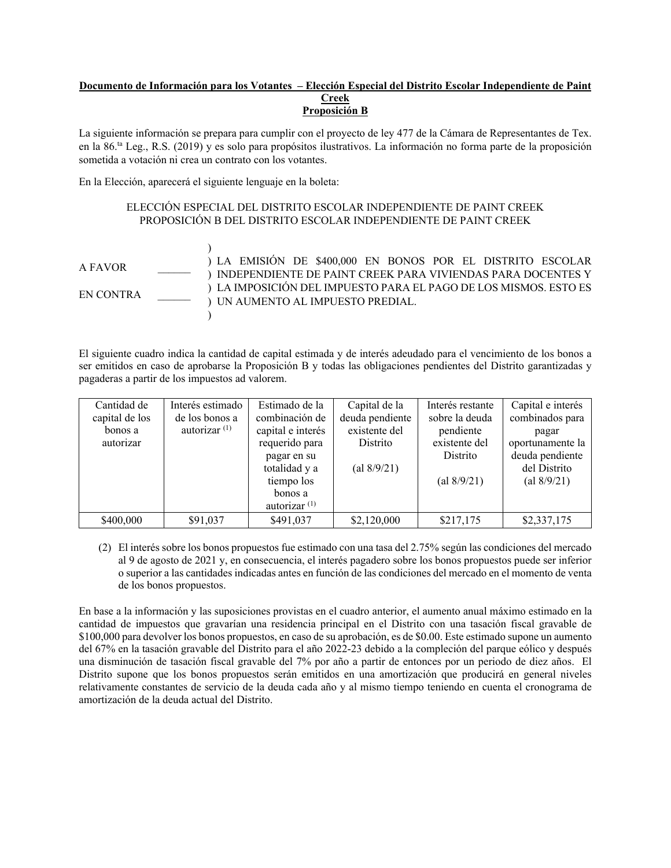#### **Documento de Información para los Votantes – Elección Especial del Distrito Escolar Independiente de Paint Creek Proposición B**

La siguiente información se prepara para cumplir con el proyecto de ley 477 de la Cámara de Representantes de Tex. en la 86.ta Leg., R.S. (2019) y es solo para propósitos ilustrativos. La información no forma parte de la proposición sometida a votación ni crea un contrato con los votantes.

En la Elección, aparecerá el siguiente lenguaje en la boleta:

# ELECCIÓN ESPECIAL DEL DISTRITO ESCOLAR INDEPENDIENTE DE PAINT CREEK PROPOSICIÓN B DEL DISTRITO ESCOLAR INDEPENDIENTE DE PAINT CREEK

A FAVOR EN CONTRA ) ) LA EMISIÓN DE \$400,000 EN BONOS POR EL DISTRITO ESCOLAR ) INDEPENDIENTE DE PAINT CREEK PARA VIVIENDAS PARA DOCENTES Y ) LA IMPOSICIÓN DEL IMPUESTO PARA EL PAGO DE LOS MISMOS. ESTO ES ) UN AUMENTO AL IMPUESTO PREDIAL.  $\lambda$ 

El siguiente cuadro indica la cantidad de capital estimada y de interés adeudado para el vencimiento de los bonos a ser emitidos en caso de aprobarse la Proposición B y todas las obligaciones pendientes del Distrito garantizadas y pagaderas a partir de los impuestos ad valorem.

| Cantidad de<br>capital de los<br>bonos a<br>autorizar | Interés estimado<br>de los bonos a<br>autorizar $(1)$ | Estimado de la<br>combinación de<br>capital e interés<br>requerido para<br>pagar en su<br>totalidad y a<br>tiempo los<br>bonos a<br>autorizar $(1)$ | Capital de la<br>deuda pendiente<br>existente del<br>Distrito<br>(al 8/9/21) | Interés restante<br>sobre la deuda<br>pendiente<br>existente del<br>Distrito<br>(al 8/9/21) | Capital e interés<br>combinados para<br>pagar<br>oportunamente la<br>deuda pendiente<br>del Distrito<br>(al $8/9/21$ ) |
|-------------------------------------------------------|-------------------------------------------------------|-----------------------------------------------------------------------------------------------------------------------------------------------------|------------------------------------------------------------------------------|---------------------------------------------------------------------------------------------|------------------------------------------------------------------------------------------------------------------------|
| \$400,000                                             | \$91,037                                              | \$491,037                                                                                                                                           | \$2,120,000                                                                  | \$217,175                                                                                   | \$2,337,175                                                                                                            |

(2) El interés sobre los bonos propuestos fue estimado con una tasa del 2.75% según las condiciones del mercado al 9 de agosto de 2021 y, en consecuencia, el interés pagadero sobre los bonos propuestos puede ser inferior o superior a las cantidades indicadas antes en función de las condiciones del mercado en el momento de venta de los bonos propuestos.

En base a la información y las suposiciones provistas en el cuadro anterior, el aumento anual máximo estimado en la cantidad de impuestos que gravarían una residencia principal en el Distrito con una tasación fiscal gravable de \$100,000 para devolver los bonos propuestos, en caso de su aprobación, es de \$0.00. Este estimado supone un aumento del 67% en la tasación gravable del Distrito para el año 2022-23 debido a la compleción del parque eólico y después una disminución de tasación fiscal gravable del 7% por año a partir de entonces por un periodo de diez años. El Distrito supone que los bonos propuestos serán emitidos en una amortización que producirá en general niveles relativamente constantes de servicio de la deuda cada año y al mismo tiempo teniendo en cuenta el cronograma de amortización de la deuda actual del Distrito.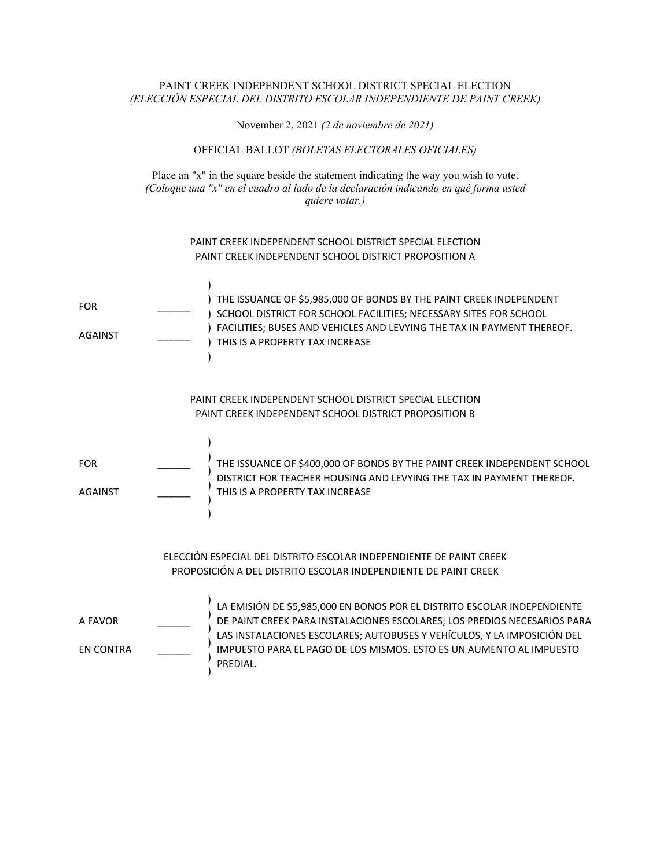### PAINT CREEK INDEPENDENT SCHOOL DISTRICT SPECIAL ELECTION *(ELECCIÓN ESPECIAL DEL DISTRITO ESCOLAR INDEPENDIENTE DE PAINT CREEK)*

November 2, 2021 *(2 de noviembre de 2021)*

### OFFICIAL BALLOT *(BOLETAS ELECTORALES OFICIALES)*

Place an "x" in the square beside the statement indicating the way you wish to vote. *(Coloque una "x" en el cuadro al lado de la declaración indicando en qué forma usted quiere votar.)* 

### PAINT CREEK INDEPENDENT SCHOOL DISTRICT SPECIAL ELECTION PAINT CREEK INDEPENDENT SCHOOL DISTRICT PROPOSITION A